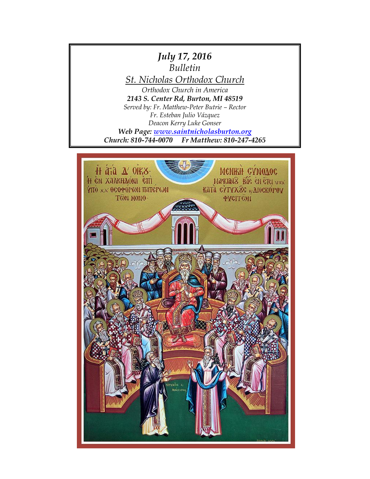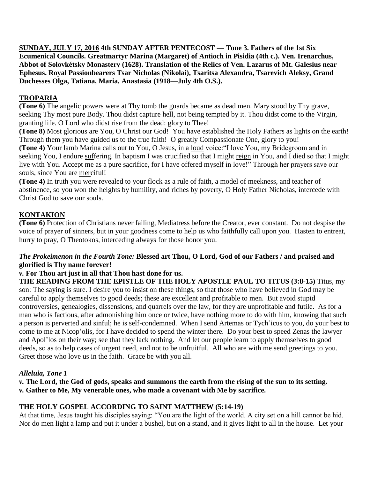**SUNDAY, JULY 17, 2016 4th SUNDAY AFTER PENTECOST — Tone 3. Fathers of the 1st Six Ecumenical Councils. Greatmartyr Marina (Margaret) of Antioch in Pisidia (4th c.). Ven. Irenarchus, Abbot of Solovkétsky Monastery (1628). Translation of the Relics of Ven. Lazarus of Mt. Galesius near Ephesus. Royal Passionbearers Tsar Nicholas (Nikolai), Tsaritsa Alexandra, Tsarevich Aleksy, Grand Duchesses Olga, Tatiana, Maria, Anastasia (1918—July 4th O.S.).**

# **TROPARIA**

**(Tone 6)** The angelic powers were at Thy tomb the guards became as dead men. Mary stood by Thy grave, seeking Thy most pure Body. Thou didst capture hell, not being tempted by it. Thou didst come to the Virgin, granting life. O Lord who didst rise from the dead: glory to Thee!

**(Tone 8)** Most glorious are You, O Christ our God! You have established the Holy Fathers as lights on the earth! Through them you have guided us to the true faith! O greatly Compassionate One, glory to you!

**(Tone 4)** Your lamb Marina calls out to You, O Jesus, in a loud voice:"I love You, my Bridegroom and in seeking You, I endure suffering. In baptism I was crucified so that I might reign in You, and I died so that I might live with You. Accept me as a pure sacrifice, for I have offered myself in love!" Through her prayers save our souls, since You are merciful!

**(Tone 4)** In truth you were revealed to your flock as a rule of faith, a model of meekness, and teacher of abstinence, so you won the heights by humility, and riches by poverty, O Holy Father Nicholas, intercede with Christ God to save our souls.

# **KONTAKION**

**(Tone 6)** Protection of Christians never failing, Mediatress before the Creator, ever constant. Do not despise the voice of prayer of sinners, but in your goodness come to help us who faithfully call upon you. Hasten to entreat, hurry to pray, O Theotokos, interceding always for those honor you.

#### *The Prokeimenon in the Fourth Tone:* **Blessed art Thou, O Lord, God of our Fathers / and praised and glorified is Thy name forever!**

#### *v.* **For Thou art just in all that Thou hast done for us.**

**THE READING FROM THE EPISTLE OF THE HOLY APOSTLE PAUL TO TITUS (3:8-15)** Titus, my son: The saying is sure. I desire you to insist on these things, so that those who have believed in God may be careful to apply themselves to good deeds; these are excellent and profitable to men. But avoid stupid controversies, genealogies, dissensions, and quarrels over the law, for they are unprofitable and futile. As for a man who is factious, after admonishing him once or twice, have nothing more to do with him, knowing that such a person is perverted and sinful; he is self-condemned. When I send Artemas or Tych'icus to you, do your best to come to me at Nicop'olis, for I have decided to spend the winter there. Do your best to speed Zenas the lawyer and Apol'los on their way; see that they lack nothing. And let our people learn to apply themselves to good deeds, so as to help cases of urgent need, and not to be unfruitful. All who are with me send greetings to you. Greet those who love us in the faith. Grace be with you all.

## *Alleluia, Tone 1*

*v.* **The Lord, the God of gods, speaks and summons the earth from the rising of the sun to its setting.** *v.* **Gather to Me, My venerable ones, who made a covenant with Me by sacrifice.**

## **THE HOLY GOSPEL ACCORDING TO SAINT MATTHEW (5:14-19)**

At that time, Jesus taught his disciples saying: "You are the light of the world. A city set on a hill cannot be hid. Nor do men light a lamp and put it under a bushel, but on a stand, and it gives light to all in the house. Let your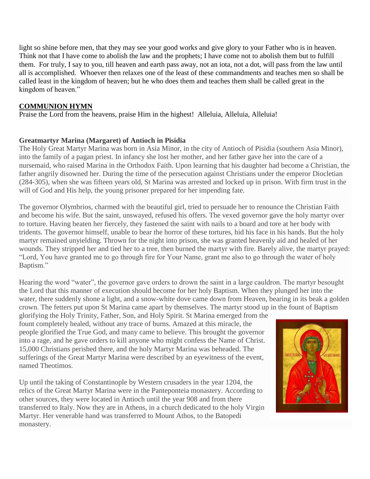light so shine before men, that they may see your good works and give glory to your Father who is in heaven. Think not that I have come to abolish the law and the prophets; I have come not to abolish them but to fulfill them. For truly, I say to you, till heaven and earth pass away, not an iota, not a dot, will pass from the law until all is accomplished. Whoever then relaxes one of the least of these commandments and teaches men so shall be called least in the kingdom of heaven; but he who does them and teaches them shall be called great in the kingdom of heaven."

#### **COMMUNION HYMN**

Praise the Lord from the heavens, praise Him in the highest! Alleluia, Alleluia, Alleluia!

### **Greatmartyr Marina (Margaret) of Antioch in Pisidia**

The Holy Great Martyr Marina was born in Asia Minor, in the city of Antioch of Pisidia (southern Asia Minor), into the family of a pagan priest. In infancy she lost her mother, and her father gave her into the care of a nursemaid, who raised Marina in the Orthodox Faith. Upon learning that his daughter had become a Christian, the father angrily disowned her. During the time of the persecution against Christians under the emperor Diocletian (284-305), when she was fifteen years old, St Marina was arrested and locked up in prison. With firm trust in the will of God and His help, the young prisoner prepared for her impending fate.

The governor Olymbrios, charmed with the beautiful girl, tried to persuade her to renounce the Christian Faith and become his wife. But the saint, unswayed, refused his offers. The vexed governor gave the holy martyr over to torture. Having beaten her fiercely, they fastened the saint with nails to a board and tore at her body with tridents. The governor himself, unable to bear the horror of these tortures, hid his face in his hands. But the holy martyr remained unyielding. Thrown for the night into prison, she was granted heavenly aid and healed of her wounds. They stripped her and tied her to a tree, then burned the martyr with fire. Barely alive, the martyr prayed: "Lord, You have granted me to go through fire for Your Name, grant me also to go through the water of holy Baptism."

Hearing the word "water", the governor gave orders to drown the saint in a large cauldron. The martyr besought the Lord that this manner of execution should become for her holy Baptism. When they plunged her into the water, there suddenly shone a light, and a snow-white dove came down from Heaven, bearing in its beak a golden crown. The fetters put upon St Marina came apart by themselves. The martyr stood up in the fount of Baptism

glorifying the Holy Trinity, Father, Son, and Holy Spirit. St Marina emerged from the fount completely healed, without any trace of burns. Amazed at this miracle, the people glorified the True God, and many came to believe. This brought the governor into a rage, and he gave orders to kill anyone who might confess the Name of Christ. 15,000 Christians perished there, and the holy Martyr Marina was beheaded. The sufferings of the Great Martyr Marina were described by an eyewitness of the event, named Theotimos.

Up until the taking of Constantinople by Western crusaders in the year 1204, the relics of the Great Martyr Marina were in the Panteponteia monastery. According to other sources, they were located in Antioch until the year 908 and from there transferred to Italy. Now they are in Athens, in a church dedicated to the holy Virgin Martyr. Her venerable hand was transferred to Mount Athos, to the Batopedi monastery.

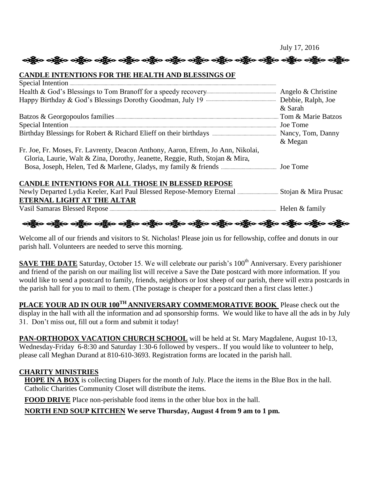းရွိေလးရွိေတာ့ မန္တီးေတြကုိ ေရွာက္ရွိေတာ့ သန္တီလ တစ္သိုးေတာ့ ေရွာက္ေတာ့ေတာ့ ေရွာက္ေတာ့ လည္သိသေဘာင္း

#### **CANDLE INTENTIONS FOR THE HEALTH AND BLESSINGS OF**

|                                                                                  | & Sarah |
|----------------------------------------------------------------------------------|---------|
|                                                                                  |         |
|                                                                                  |         |
|                                                                                  |         |
|                                                                                  | & Megan |
| Fr. Joe, Fr. Moses, Fr. Lavrenty, Deacon Anthony, Aaron, Efrem, Jo Ann, Nikolai, |         |
| Gloria, Laurie, Walt & Zina, Dorothy, Jeanette, Reggie, Ruth, Stojan & Mira,     |         |
|                                                                                  |         |
|                                                                                  |         |
| <b>CANDLE INTENTIONS FOR ALL THOSE IN BLESSED REPOSE</b>                         |         |
|                                                                                  |         |
| ETERNAL LIGHT AT THE ALTAR                                                       |         |
|                                                                                  |         |

ခရွိက ခရိုက် ခရိုက် အိုင်း မရှိသည့် ခရိုက် ခရိုက် ခရိုက် ခရိုက် ခရိုက် ခရိုက် ခရိုက် ခရိုက် ခရိုက်

Welcome all of our friends and visitors to St. Nicholas! Please join us for fellowship, coffee and donuts in our parish hall. Volunteers are needed to serve this morning.

**SAVE THE DATE** Saturday, October 15. We will celebrate our parish's 100<sup>th</sup> Anniversary. Every parishioner and friend of the parish on our mailing list will receive a Save the Date postcard with more information. If you would like to send a postcard to family, friends, neighbors or lost sheep of our parish, there will extra postcards in the parish hall for you to mail to them. (The postage is cheaper for a postcard then a first class letter.)

**PLACE YOUR AD IN OUR 100TH ANNIVERSARY COMMEMORATIVE BOOK** Please check out the display in the hall with all the information and ad sponsorship forms. We would like to have all the ads in by July 31. Don't miss out, fill out a form and submit it today!

PAN-ORTHODOX VACATION CHURCH SCHOOL will be held at St. Mary Magdalene, August 10-13, Wednesday-Friday 6-8:30 and Saturday 1:30-6 followed by vespers.. If you would like to volunteer to help, please call Meghan Durand at 810-610-3693. Registration forms are located in the parish hall.

## **CHARITY MINISTRIES**

**HOPE IN A BOX** is collecting Diapers for the month of July. Place the items in the Blue Box in the hall. Catholic Charities Community Closet will distribute the items.

**FOOD DRIVE** Place non-perishable food items in the other blue box in the hall.

**NORTH END SOUP KITCHEN We serve Thursday, August 4 from 9 am to 1 pm.**